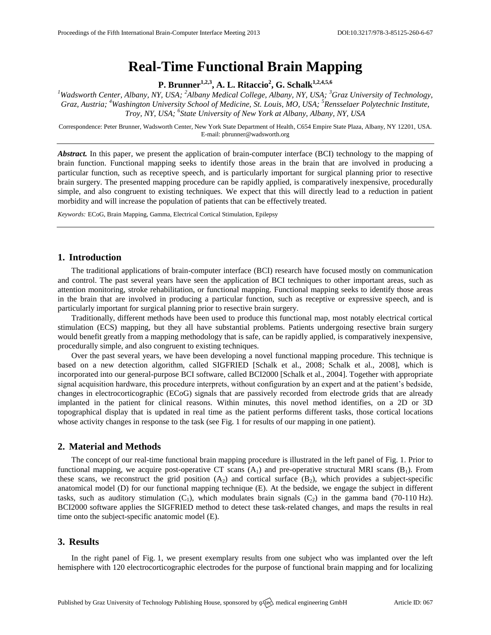# **Real-Time Functional Brain Mapping**

**P. Brunner1,2,3 , A. L. Ritaccio<sup>2</sup> , G. Schalk1,2,4,5,6**

*<sup>1</sup>Wadsworth Center, Albany, NY, USA; <sup>2</sup>Albany Medical College, Albany, NY, USA; <sup>3</sup>Graz University of Technology, Graz, Austria; <sup>4</sup>Washington University School of Medicine, St. Louis, MO, USA; <sup>5</sup>Rensselaer Polytechnic Institute, Troy, NY, USA; <sup>6</sup> State University of New York at Albany, Albany, NY, USA*

Correspondence: Peter Brunner, Wadsworth Center, New York State Department of Health, C654 Empire State Plaza, Albany, NY 12201, USA. E-mail: [pbrunner@wadsworth.org](mailto:pbrunner@wadsworth.org)

*Abstract.* In this paper, we present the application of brain-computer interface (BCI) technology to the mapping of brain function. Functional mapping seeks to identify those areas in the brain that are involved in producing a particular function, such as receptive speech, and is particularly important for surgical planning prior to resective brain surgery. The presented mapping procedure can be rapidly applied, is comparatively inexpensive, procedurally simple, and also congruent to existing techniques. We expect that this will directly lead to a reduction in patient morbidity and will increase the population of patients that can be effectively treated.

*Keywords:* ECoG, Brain Mapping, Gamma, Electrical Cortical Stimulation, Epilepsy

# **1. Introduction**

The traditional applications of brain-computer interface (BCI) research have focused mostly on communication and control. The past several years have seen the application of BCI techniques to other important areas, such as attention monitoring, stroke rehabilitation, or functional mapping. Functional mapping seeks to identify those areas in the brain that are involved in producing a particular function, such as receptive or expressive speech, and is particularly important for surgical planning prior to resective brain surgery.

Traditionally, different methods have been used to produce this functional map, most notably electrical cortical stimulation (ECS) mapping, but they all have substantial problems. Patients undergoing resective brain surgery would benefit greatly from a mapping methodology that is safe, can be rapidly applied, is comparatively inexpensive, procedurally simple, and also congruent to existing techniques.

Over the past several years, we have been developing a novel functional mapping procedure. This technique is based on a new detection algorithm, called SIGFRIED [Schalk et al., 2008; Schalk et al., 2008], which is incorporated into our general-purpose BCI software, called BCI2000 [Schalk et al., 2004]. Together with appropriate signal acquisition hardware, this procedure interprets, without configuration by an expert and at the patient's bedside, changes in electrocorticographic (ECoG) signals that are passively recorded from electrode grids that are already implanted in the patient for clinical reasons. Within minutes, this novel method identifies, on a 2D or 3D topographical display that is updated in real time as the patient performs different tasks, those cortical locations whose activity changes in response to the task (see Fig. 1 for results of our mapping in one patient).

#### **2. Material and Methods**

The concept of our real-time functional brain mapping procedure is illustrated in the left panel of Fig. 1. Prior to functional mapping, we acquire post-operative CT scans  $(A_1)$  and pre-operative structural MRI scans  $(B_1)$ . From these scans, we reconstruct the grid position  $(A_2)$  and cortical surface  $(B_2)$ , which provides a subject-specific anatomical model (D) for our functional mapping technique (E). At the bedside, we engage the subject in different tasks, such as auditory stimulation  $(C_1)$ , which modulates brain signals  $(C_2)$  in the gamma band (70-110 Hz). BCI2000 software applies the SIGFRIED method to detect these task-related changes, and maps the results in real time onto the subject-specific anatomic model (E).

### **3. Results**

In the right panel of Fig. 1, we present exemplary results from one subject who was implanted over the left hemisphere with 120 electrocorticographic electrodes for the purpose of functional brain mapping and for localizing